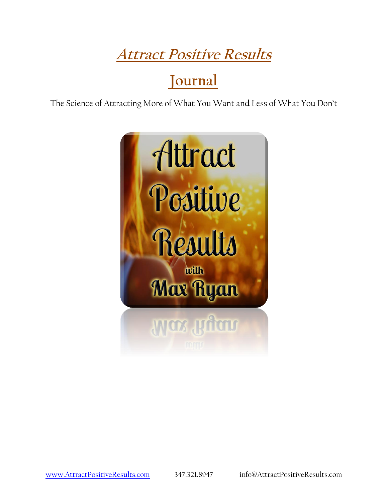## **Attract Positive Results**

## **Journal**

The Science of Attracting More of What You Want and Less of What You Don't

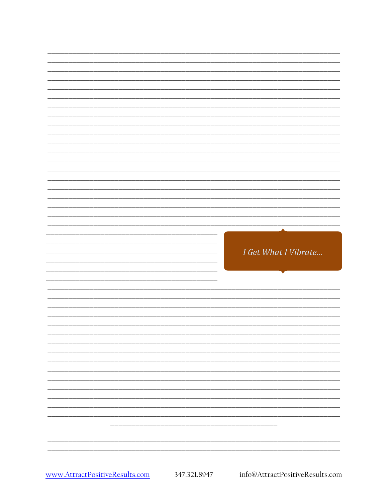| I Get What I Vibrate |
|----------------------|
|                      |
|                      |
|                      |
|                      |
|                      |
|                      |
|                      |
|                      |
|                      |
|                      |
|                      |
|                      |
|                      |
| —                    |
| —                    |
| -                    |
|                      |
| —                    |
|                      |
| $-$                  |
|                      |
|                      |
|                      |
|                      |
|                      |
|                      |
|                      |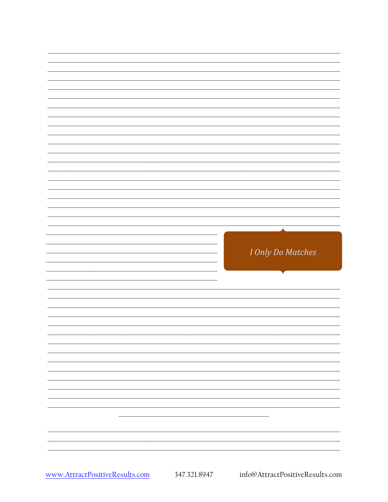| I Only Do Matches        |
|--------------------------|
|                          |
|                          |
|                          |
|                          |
|                          |
|                          |
|                          |
|                          |
|                          |
|                          |
|                          |
| $\overline{\phantom{0}}$ |
| —                        |
| -                        |
| —                        |
|                          |
|                          |
| —                        |
| —                        |
|                          |
|                          |
|                          |
|                          |
|                          |
|                          |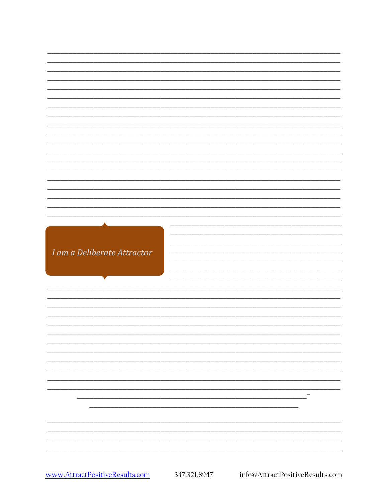| I am a Deliberate Attractor |                              |                          |
|-----------------------------|------------------------------|--------------------------|
|                             |                              |                          |
|                             |                              |                          |
|                             |                              |                          |
|                             |                              |                          |
|                             |                              |                          |
|                             |                              |                          |
|                             |                              |                          |
|                             |                              |                          |
|                             |                              |                          |
|                             |                              |                          |
|                             |                              |                          |
|                             |                              |                          |
|                             |                              |                          |
|                             |                              |                          |
|                             |                              |                          |
|                             |                              |                          |
|                             |                              | $\overline{\phantom{0}}$ |
|                             | $\qquad \qquad \blacksquare$ |                          |
|                             |                              |                          |
|                             |                              |                          |
|                             |                              |                          |
|                             |                              |                          |
|                             |                              |                          |
|                             |                              |                          |
|                             |                              |                          |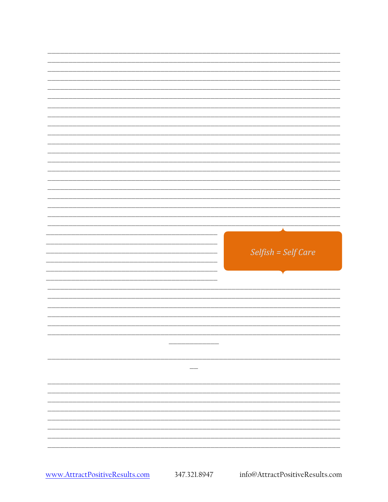| $Selfish = Self Care$ |
|-----------------------|
|                       |
|                       |
|                       |
|                       |
|                       |
|                       |
|                       |
|                       |
|                       |
|                       |
|                       |
|                       |
|                       |
|                       |
|                       |
|                       |
|                       |
|                       |
|                       |
|                       |
|                       |
|                       |
|                       |
|                       |
|                       |
|                       |
|                       |
|                       |
|                       |
|                       |
|                       |
|                       |
|                       |
|                       |
|                       |
| ۰                     |
|                       |
|                       |
|                       |
|                       |
|                       |
|                       |
|                       |
|                       |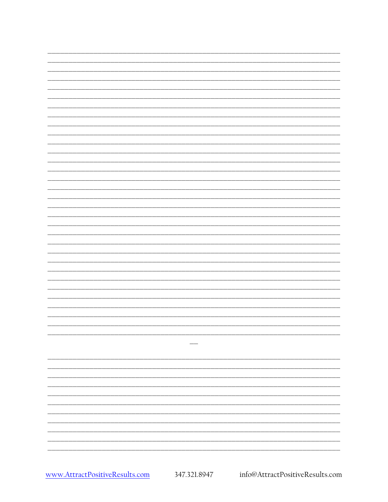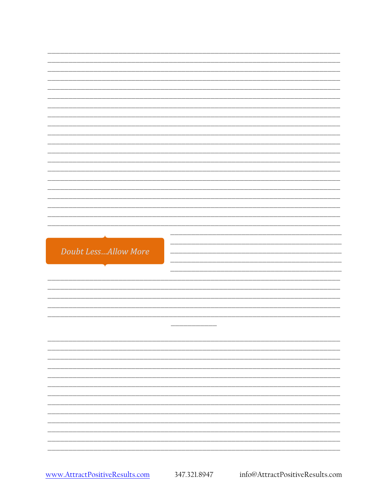## Doubt Less...Allow More

\_\_\_\_\_\_\_\_\_\_

 $\overline{\phantom{a}}$  $\overline{\phantom{a}}$ 

 $\overline{\phantom{a}}$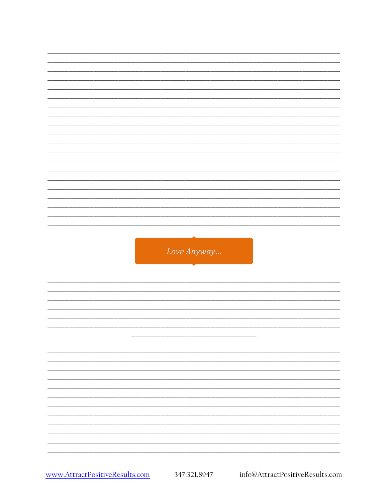Love Anyway...

www.AttractPositiveResults.com 347.321.8947 info@AttractPositiveResults.com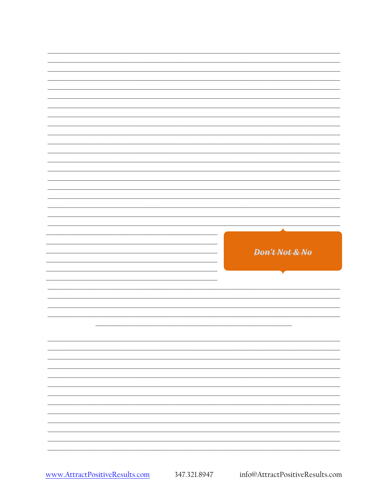| <b>Don't Not &amp; No</b>                                   |
|-------------------------------------------------------------|
|                                                             |
|                                                             |
|                                                             |
|                                                             |
|                                                             |
|                                                             |
|                                                             |
|                                                             |
|                                                             |
|                                                             |
|                                                             |
|                                                             |
|                                                             |
|                                                             |
|                                                             |
|                                                             |
|                                                             |
|                                                             |
|                                                             |
| —                                                           |
|                                                             |
| -                                                           |
|                                                             |
|                                                             |
|                                                             |
|                                                             |
|                                                             |
|                                                             |
| —                                                           |
|                                                             |
|                                                             |
|                                                             |
|                                                             |
|                                                             |
|                                                             |
|                                                             |
| -                                                           |
|                                                             |
|                                                             |
|                                                             |
|                                                             |
| -                                                           |
|                                                             |
|                                                             |
|                                                             |
| -<br>-<br>—<br>—<br>$\overline{\phantom{0}}$<br>—<br>-<br>— |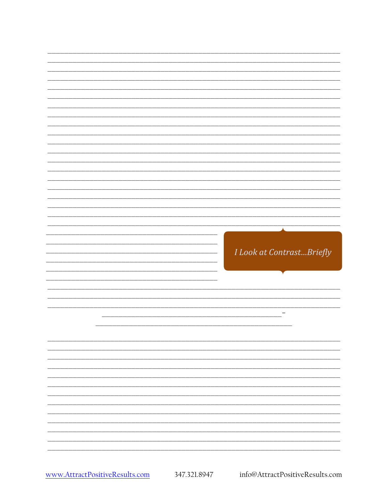| I Look at ContrastBriefly                           |
|-----------------------------------------------------|
|                                                     |
|                                                     |
|                                                     |
|                                                     |
|                                                     |
|                                                     |
|                                                     |
|                                                     |
|                                                     |
|                                                     |
|                                                     |
|                                                     |
|                                                     |
|                                                     |
|                                                     |
|                                                     |
|                                                     |
|                                                     |
|                                                     |
|                                                     |
|                                                     |
|                                                     |
|                                                     |
|                                                     |
|                                                     |
|                                                     |
| -<br>—<br>-<br>—<br>—<br>-<br>-<br>—<br>-<br>-<br>- |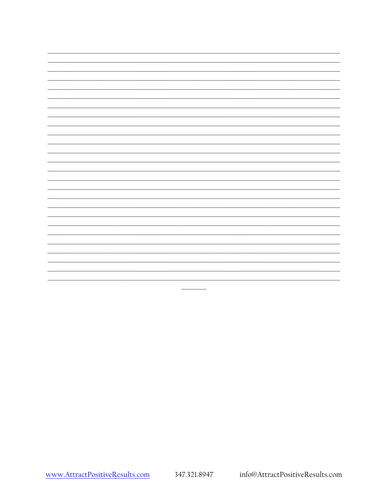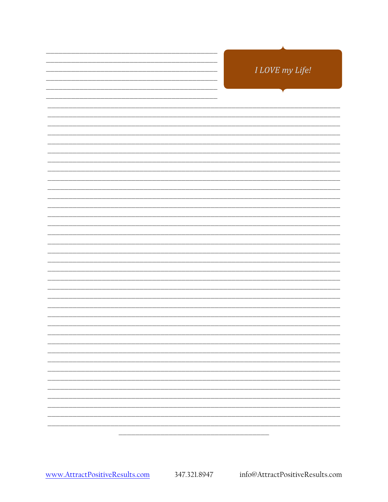| I LOVE my Life! |  |  |
|-----------------|--|--|
|                 |  |  |

| I LOVE my Life!        |
|------------------------|
|                        |
|                        |
| Y.                     |
|                        |
|                        |
|                        |
|                        |
|                        |
|                        |
|                        |
|                        |
|                        |
|                        |
|                        |
|                        |
|                        |
|                        |
|                        |
|                        |
|                        |
|                        |
|                        |
|                        |
|                        |
|                        |
|                        |
|                        |
|                        |
|                        |
|                        |
|                        |
|                        |
|                        |
|                        |
|                        |
| --                     |
| —                      |
| —                      |
|                        |
| —                      |
| ۰                      |
| —                      |
|                        |
| $\qquad \qquad \qquad$ |
| —                      |
|                        |
|                        |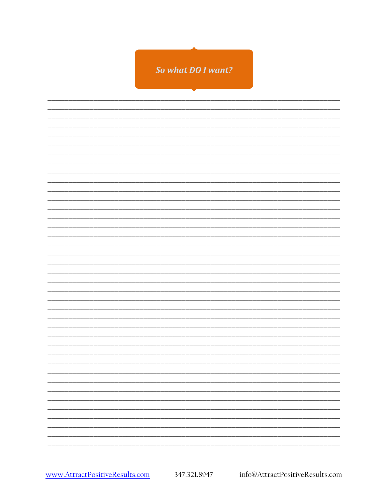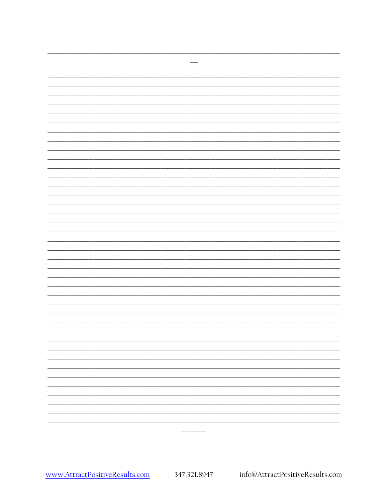|  | ÷,                       |
|--|--------------------------|
|  |                          |
|  | $\overline{\phantom{0}}$ |
|  |                          |
|  |                          |
|  |                          |
|  |                          |
|  |                          |
|  |                          |
|  |                          |
|  |                          |
|  |                          |
|  | $\overline{\phantom{0}}$ |
|  |                          |
|  |                          |
|  |                          |
|  |                          |
|  |                          |
|  |                          |
|  |                          |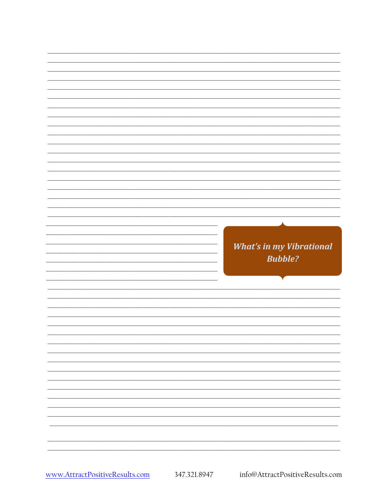| <b>What's in my Vibrational</b> |
|---------------------------------|
|                                 |
|                                 |
|                                 |
| <b>Bubble?</b>                  |
|                                 |
|                                 |
|                                 |
|                                 |
|                                 |
|                                 |
|                                 |
|                                 |
|                                 |
|                                 |
|                                 |
| $\overline{\phantom{0}}$        |
| -                               |
| $\overline{\phantom{0}}$        |
|                                 |
| -                               |
|                                 |
| -                               |
|                                 |
|                                 |
| -                               |
|                                 |
| -                               |
| $\overline{\phantom{0}}$        |
|                                 |
|                                 |
|                                 |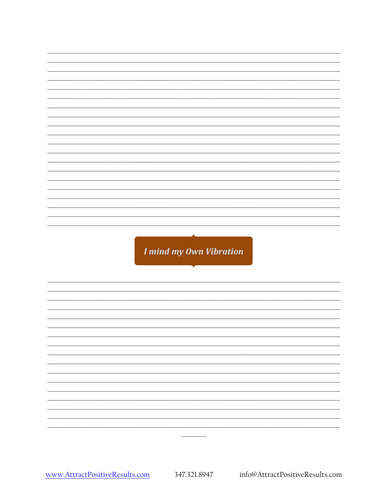I mind my Own Vibration

 $\overbrace{\hspace{25mm}}^{ \hspace{25mm} \hspace{25mm} \hspace{25mm} }$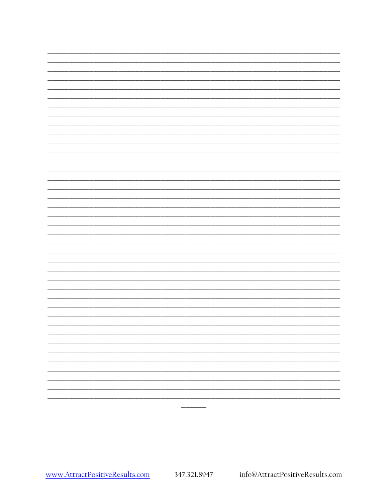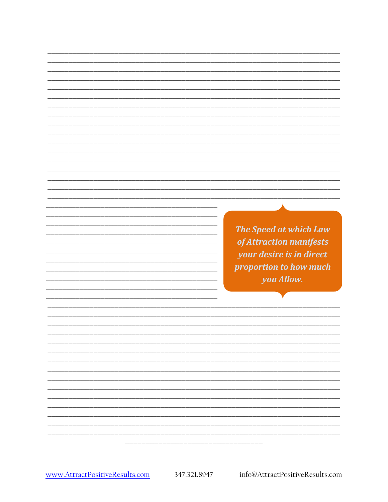The Speed at which Law of Attraction manifests your desire is in direct proportion to how much you Allow.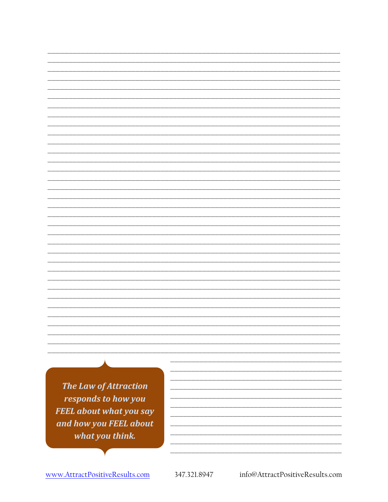The Law of Attraction responds to how you **FEEL about what you say** and how you FEEL about what you think.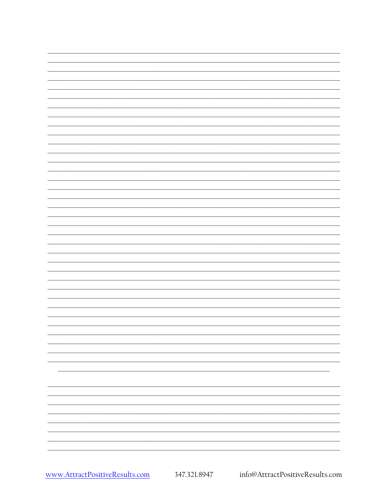|  |  | ۰ |
|--|--|---|
|  |  |   |
|  |  |   |
|  |  |   |
|  |  |   |
|  |  |   |
|  |  |   |
|  |  |   |
|  |  |   |
|  |  |   |
|  |  |   |
|  |  |   |
|  |  |   |
|  |  |   |
|  |  |   |
|  |  |   |
|  |  |   |
|  |  |   |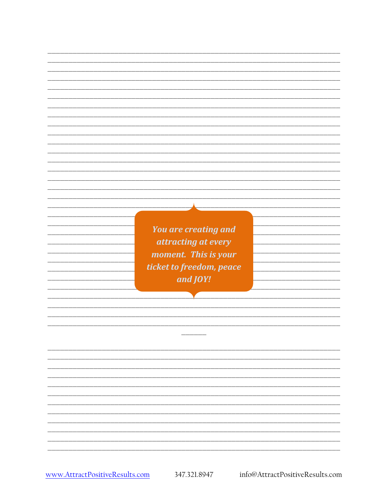**You are creating and** attracting at every moment. This is your ticket to freedom, peace and JOY!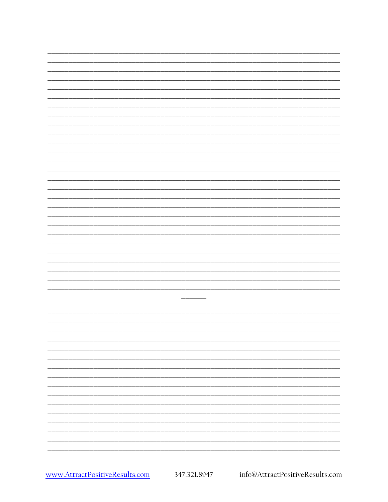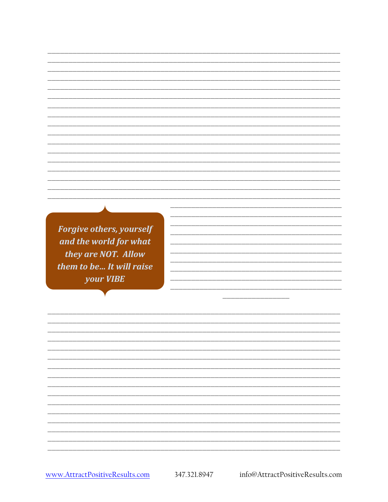**Forgive others, yourself** and the world for what they are NOT. Allow them to be... It will raise your VIBE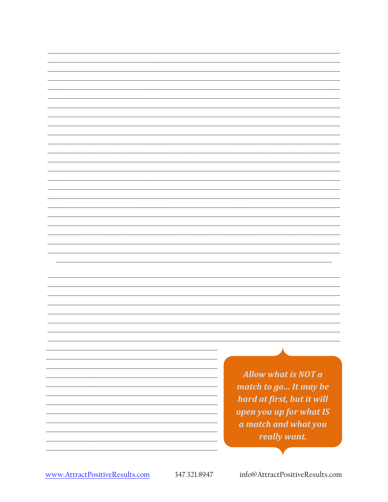## **Allow what is NOT a** match to go... It may be hard at first, but it will open you up for what IS a match and what you really want.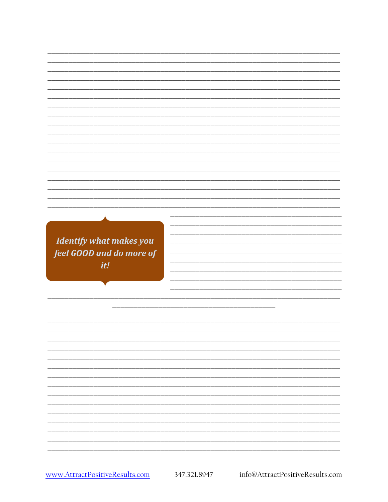**Identify what makes you** feel GOOD and do more of it!